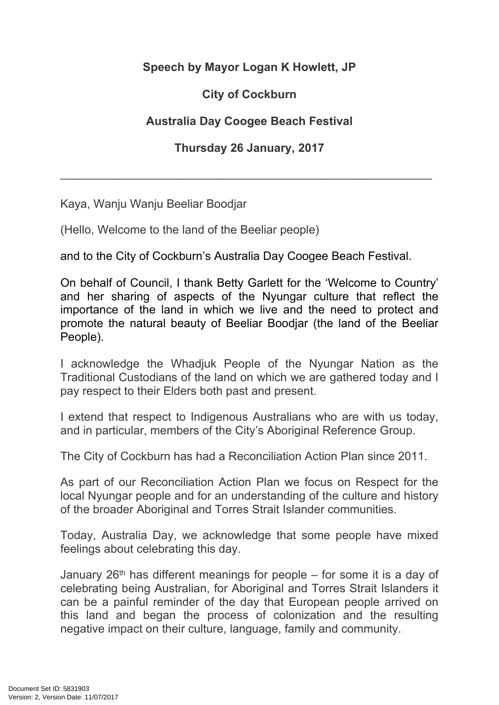## **Speech by Mayor Logan K Howlett, JP**

## **City of Cockburn**

## **Australia Day Coogee Beach Festival**

## **Thursday 26 January, 2017**

\_\_\_\_\_\_\_\_\_\_\_\_\_\_\_\_\_\_\_\_\_\_\_\_\_\_\_\_\_\_\_\_\_\_\_\_\_\_\_\_\_\_\_\_\_\_\_\_\_\_\_\_\_\_\_\_\_

Kaya, Wanju Wanju Beeliar Boodjar

(Hello, Welcome to the land of the Beeliar people)

and to the City of Cockburn's Australia Day Coogee Beach Festival.

On behalf of Council, I thank Betty Garlett for the 'Welcome to Country' and her sharing of aspects of the Nyungar culture that reflect the importance of the land in which we live and the need to protect and promote the natural beauty of Beeliar Boodjar (the land of the Beeliar People).

I acknowledge the Whadjuk People of the Nyungar Nation as the Traditional Custodians of the land on which we are gathered today and I pay respect to their Elders both past and present.

I extend that respect to Indigenous Australians who are with us today, and in particular, members of the City's Aboriginal Reference Group.

The City of Cockburn has had a Reconciliation Action Plan since 2011.

As part of our Reconciliation Action Plan we focus on Respect for the local Nyungar people and for an understanding of the culture and history of the broader Aboriginal and Torres Strait Islander communities.

Today, Australia Day, we acknowledge that some people have mixed feelings about celebrating this day.

January  $26<sup>th</sup>$  has different meanings for people – for some it is a day of celebrating being Australian, for Aboriginal and Torres Strait Islanders it can be a painful reminder of the day that European people arrived on this land and began the process of colonization and the resulting negative impact on their culture, language, family and community.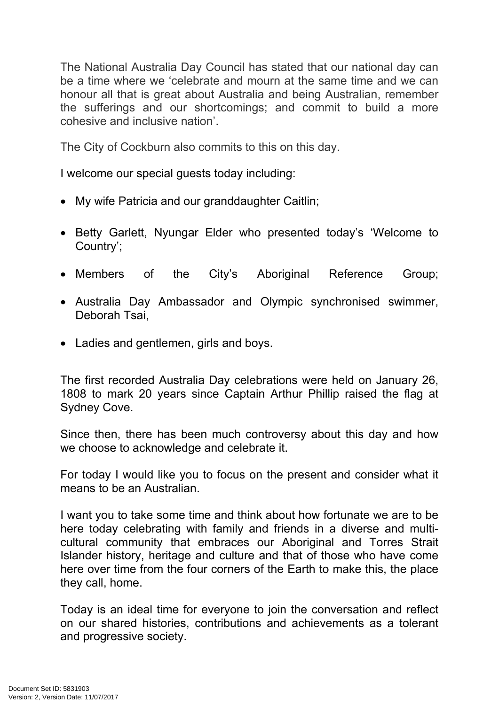The National Australia Day Council has stated that our national day can be a time where we 'celebrate and mourn at the same time and we can honour all that is great about Australia and being Australian, remember the sufferings and our shortcomings; and commit to build a more cohesive and inclusive nation'.

The City of Cockburn also commits to this on this day.

I welcome our special guests today including:

- My wife Patricia and our granddaughter Caitlin;
- Betty Garlett, Nyungar Elder who presented today's 'Welcome to Country';
- Members of the City's Aboriginal Reference Group;
- Australia Day Ambassador and Olympic synchronised swimmer, Deborah Tsai,
- Ladies and gentlemen, girls and boys.

The first recorded Australia Day celebrations were held on January 26, 1808 to mark 20 years since Captain Arthur Phillip raised the flag at Sydney Cove.

Since then, there has been much controversy about this day and how we choose to acknowledge and celebrate it.

For today I would like you to focus on the present and consider what it means to be an Australian.

I want you to take some time and think about how fortunate we are to be here today celebrating with family and friends in a diverse and multicultural community that embraces our Aboriginal and Torres Strait Islander history, heritage and culture and that of those who have come here over time from the four corners of the Earth to make this, the place they call, home.

Today is an ideal time for everyone to join the conversation and reflect on our shared histories, contributions and achievements as a tolerant and progressive society.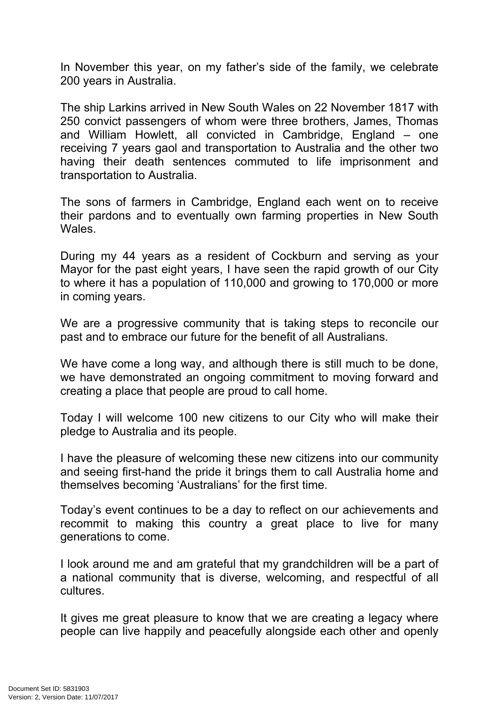In November this year, on my father's side of the family, we celebrate 200 years in Australia.

The ship Larkins arrived in New South Wales on 22 November 1817 with 250 convict passengers of whom were three brothers, James, Thomas and William Howlett, all convicted in Cambridge, England – one receiving 7 years gaol and transportation to Australia and the other two having their death sentences commuted to life imprisonment and transportation to Australia.

The sons of farmers in Cambridge, England each went on to receive their pardons and to eventually own farming properties in New South Wales.

During my 44 years as a resident of Cockburn and serving as your Mayor for the past eight years, I have seen the rapid growth of our City to where it has a population of 110,000 and growing to 170,000 or more in coming years.

We are a progressive community that is taking steps to reconcile our past and to embrace our future for the benefit of all Australians.

We have come a long way, and although there is still much to be done, we have demonstrated an ongoing commitment to moving forward and creating a place that people are proud to call home.

Today I will welcome 100 new citizens to our City who will make their pledge to Australia and its people.

I have the pleasure of welcoming these new citizens into our community and seeing first-hand the pride it brings them to call Australia home and themselves becoming 'Australians' for the first time.

Today's event continues to be a day to reflect on our achievements and recommit to making this country a great place to live for many generations to come.

I look around me and am grateful that my grandchildren will be a part of a national community that is diverse, welcoming, and respectful of all cultures.

It gives me great pleasure to know that we are creating a legacy where people can live happily and peacefully alongside each other and openly